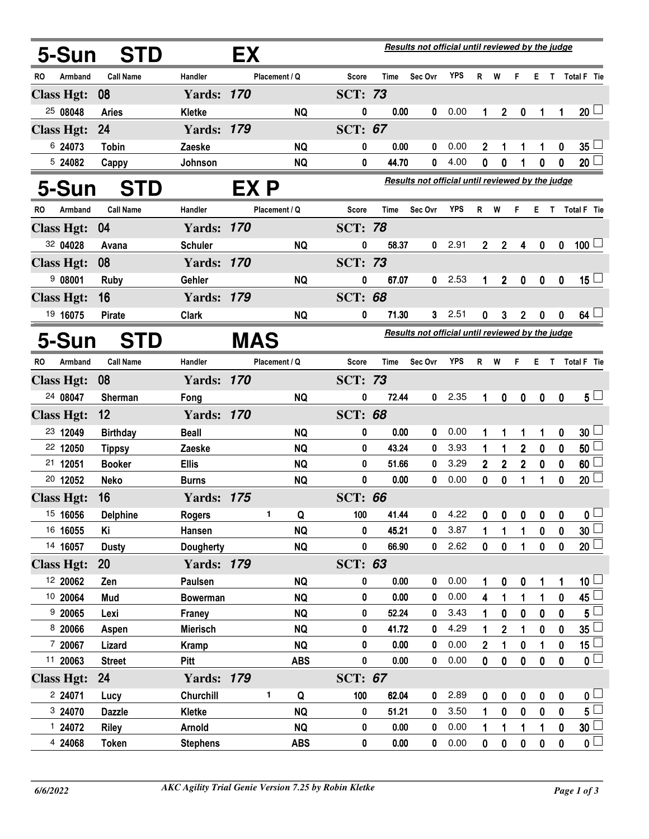| 5-Sun             | <b>STD</b>       |                   | EX   |               |                | Results not official until reviewed by the judge |                                                  |            |                |                |                  |             |                  |                         |
|-------------------|------------------|-------------------|------|---------------|----------------|--------------------------------------------------|--------------------------------------------------|------------|----------------|----------------|------------------|-------------|------------------|-------------------------|
| RO<br>Armband     | <b>Call Name</b> | Handler           |      | Placement / Q | Score          | Time                                             | Sec Ovr                                          | <b>YPS</b> | $\mathsf{R}$   | W              | F.               | E.          | $\mathbf{T}$     | Total F Tie             |
| <b>Class Hgt:</b> | 08               | <b>Yards: 170</b> |      |               | <b>SCT: 73</b> |                                                  |                                                  |            |                |                |                  |             |                  |                         |
| 25 08048          | <b>Aries</b>     | <b>Kletke</b>     |      | <b>NQ</b>     | 0              | 0.00                                             | 0                                                | 0.00       | 1              | $\mathbf{2}$   | $\boldsymbol{0}$ | 1           | 1                | $20 -$                  |
| <b>Class Hgt:</b> | 24               | <b>Yards: 179</b> |      |               | <b>SCT: 67</b> |                                                  |                                                  |            |                |                |                  |             |                  |                         |
| 6 24073           | <b>Tobin</b>     | Zaeske            |      | <b>NQ</b>     | 0              | 0.00                                             | 0                                                | 0.00       | $\overline{2}$ | 1              | 1                | 1           | $\bf{0}$         | $35^{\frac{1}{2}}$      |
| 5 24082           | Cappy            | Johnson           |      | <b>NQ</b>     | 0              | 44.70                                            | 0                                                | 4.00       | 0              | 0              |                  | $\bf{0}$    | $\boldsymbol{0}$ | 20 <sup>1</sup>         |
| 5-Sun             | <b>STD</b>       |                   | EX P |               |                |                                                  | Results not official until reviewed by the judge |            |                |                |                  |             |                  |                         |
| Armband<br>RO     | <b>Call Name</b> | Handler           |      | Placement / Q | Score          | <b>Time</b>                                      | Sec Ovr                                          | <b>YPS</b> | R              | W              | F                | E.          |                  | T Total F Tie           |
| <b>Class Hgt:</b> | 04               | <b>Yards: 170</b> |      |               | <b>SCT: 78</b> |                                                  |                                                  |            |                |                |                  |             |                  |                         |
| 32 04028          | Avana            | <b>Schuler</b>    |      | <b>NQ</b>     | 0              | 58.37                                            | $\mathbf{0}$                                     | 2.91       | $2^{\circ}$    | $\overline{2}$ | 4                | $\mathbf 0$ | $\mathbf 0$      | $100$ $\Box$            |
| <b>Class Hgt:</b> | 08               | <b>Yards: 170</b> |      |               | <b>SCT: 73</b> |                                                  |                                                  |            |                |                |                  |             |                  |                         |
| 908001            | <b>Ruby</b>      | Gehler            |      | <b>NQ</b>     | 0              | 67.07                                            | 0                                                | 2.53       | $\mathbf 1$    | $\overline{2}$ | $\pmb{0}$        | $\pmb{0}$   | $\pmb{0}$        | 15 <sup>1</sup>         |
| <b>Class Hgt:</b> | 16               | <b>Yards: 179</b> |      |               | <b>SCT: 68</b> |                                                  |                                                  |            |                |                |                  |             |                  |                         |
| 19 16075          | <b>Pirate</b>    | <b>Clark</b>      |      | <b>NQ</b>     | 0              | 71.30                                            | 3                                                | 2.51       | 0              | 3              | 2                | $\mathbf 0$ | 0                | 64 <sup>1</sup>         |
| 5-Sun             | <b>STD</b>       |                   |      |               |                | Results not official until reviewed by the judge |                                                  |            |                |                |                  |             |                  |                         |
| Armband<br>RO     | <b>Call Name</b> | Handler           |      | Placement / Q | <b>Score</b>   | <b>Time</b>                                      | Sec Ovr                                          | <b>YPS</b> | R              | W              | F.               | Е.          |                  | T Total F Tie           |
| <b>Class Hgt:</b> | 08               | <b>Yards: 170</b> |      |               | <b>SCT: 73</b> |                                                  |                                                  |            |                |                |                  |             |                  |                         |
| 24 08047          | Sherman          | Fong              |      | <b>NQ</b>     | 0              | 72.44                                            | $\mathbf{0}$                                     | 2.35       | 1              | 0              | $\mathbf 0$      | $\mathbf 0$ | $\mathbf{0}$     | $5 -$                   |
| <b>Class Hgt:</b> | 12               | <b>Yards: 170</b> |      |               | <b>SCT: 68</b> |                                                  |                                                  |            |                |                |                  |             |                  |                         |
| 23 12049          | <b>Birthday</b>  | <b>Beall</b>      |      | <b>NQ</b>     | 0              | 0.00                                             | 0                                                | 0.00       | 1              | 1              | 1                | 1           | 0                | 30 <sup>1</sup>         |
| 22 12050          | <b>Tippsy</b>    | Zaeske            |      | <b>NQ</b>     | 0              | 43.24                                            | 0                                                | 3.93       | 1              | 1              | $\overline{2}$   | $\pmb{0}$   | $\boldsymbol{0}$ | 50 <sup>1</sup>         |
| 21 12051          | <b>Booker</b>    | <b>Ellis</b>      |      | <b>NQ</b>     | 0              | 51.66                                            | 0                                                | 3.29       | 2              | $\mathbf 2$    | $\overline{2}$   | 0           | 0                | $60$ $\Box$             |
| 20 12052          | <b>Neko</b>      | <b>Burns</b>      |      | <b>NQ</b>     | 0              | 0.00                                             | 0                                                | 0.00       | 0              | 0              | 1                | 1           | 0                | $20$ $\Box$             |
| <b>Class Hgt:</b> | 16               | <b>Yards: 175</b> |      |               | <b>SCT: 66</b> |                                                  |                                                  |            |                |                |                  |             |                  |                         |
| 15 16056          | <b>Delphine</b>  | <b>Rogers</b>     |      | ı<br>Q        | 100            | 41.44                                            | $\mathbf{0}$                                     | 4.22       | 0              | O              | 0                | 0           | 0                | $\overline{\mathbf{0}}$ |
| 16 16055          | Κi               | Hansen            |      | <b>NQ</b>     | 0              | 45.21                                            | 0                                                | 3.87       |                | 1              | 1                | $\mathbf 0$ | 0                | 30 <sup>1</sup>         |
| 14 16057          | <b>Dusty</b>     | <b>Dougherty</b>  |      | <b>NQ</b>     | 0              | 66.90                                            | 0                                                | 2.62       | 0              | 0              | 1                | $\mathbf 0$ | 0                | $20\square$             |
| <b>Class Hgt:</b> | <b>20</b>        | <b>Yards: 179</b> |      |               | <b>SCT: 63</b> |                                                  |                                                  |            |                |                |                  |             |                  |                         |
| 12 20062          | Zen              | Paulsen           |      | <b>NQ</b>     | 0              | 0.00                                             | 0                                                | 0.00       |                | 0              | 0                | 1           | 1                | $10\sqcup$              |
| 10 20064          | Mud              | <b>Bowerman</b>   |      | <b>NQ</b>     | 0              | 0.00                                             | 0                                                | 0.00       | 4              |                | 1                | 1           | 0                | $\overline{45}$         |
| 920065            | Lexi             | Franey            |      | <b>NQ</b>     | 0              | 52.24                                            | 0                                                | 3.43       |                | 0              | 0                | $\mathbf 0$ | $\mathbf{0}$     | $5^{\perp}$             |
| 8 20066           | Aspen            | <b>Mierisch</b>   |      | <b>NQ</b>     | 0              | 41.72                                            | 0                                                | 4.29       |                | $\overline{2}$ | 1                | 0           | 0                | $35\Box$                |
| 7 20067           | Lizard           | <b>Kramp</b>      |      | <b>NQ</b>     | 0              | 0.00                                             | 0                                                | 0.00       | $\overline{2}$ | 1              | 0                | 1           | 0                | 15 <sup>1</sup>         |
| 11 20063          | <b>Street</b>    | Pitt              |      | <b>ABS</b>    | 0              | 0.00                                             | 0                                                | 0.00       | 0              | $\bf{0}$       | 0                | $\mathbf 0$ | $\bf{0}$         | $\overline{\mathbf{0}}$ |
| <b>Class Hgt:</b> | 24               | <b>Yards: 179</b> |      |               | <b>SCT: 67</b> |                                                  |                                                  |            |                |                |                  |             |                  |                         |
| 2 24071           | Lucy             | Churchill         |      | 1<br>Q        | 100            | 62.04                                            | 0                                                | 2.89       | 0              | 0              | 0                | 0           | 0                | 0 <sub>1</sub>          |
| 3 24070           | <b>Dazzle</b>    | Kletke            |      | <b>NQ</b>     | 0              | 51.21                                            | 0                                                | 3.50       |                | 0              | 0                | 0           | $\bf{0}$         | $5^{\square}$           |
| 1 24072           | <b>Riley</b>     | <b>Arnold</b>     |      | <b>NQ</b>     | 0              | 0.00                                             | 0                                                | 0.00       |                | 1              | 1                | 1           | 0                | $30\square$             |
| 4 24068           | <b>Token</b>     | <b>Stephens</b>   |      | <b>ABS</b>    | 0              | 0.00                                             | 0                                                | 0.00       | 0              | 0              | 0                | $\pmb{0}$   | 0                | $\overline{\mathbf{0}}$ |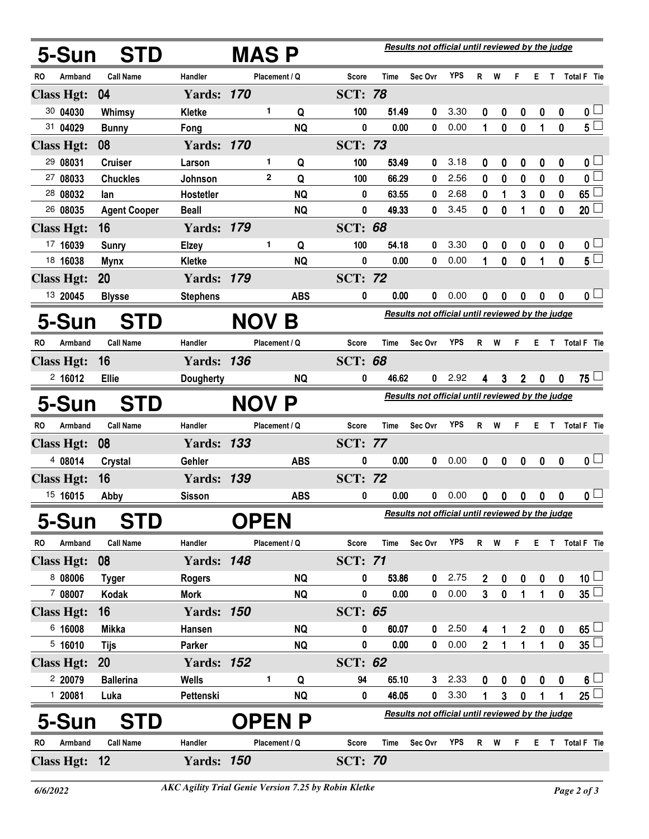| 5-Sun               |         | <b>STD</b>          |                   | <b>MASP</b> |               | Results not official until reviewed by the judge |                                                  |                                                  |                                                  |            |                |           |              |                  |                  |                         |  |  |  |
|---------------------|---------|---------------------|-------------------|-------------|---------------|--------------------------------------------------|--------------------------------------------------|--------------------------------------------------|--------------------------------------------------|------------|----------------|-----------|--------------|------------------|------------------|-------------------------|--|--|--|
| RO                  | Armband | <b>Call Name</b>    | Handler           |             | Placement / Q |                                                  | <b>Score</b>                                     | Time                                             | Sec Ovr                                          | <b>YPS</b> | R.             | W         | F.           | E.               |                  | T Total F Tie           |  |  |  |
| <b>Class Hgt:</b>   |         | 04                  | <b>Yards: 170</b> |             |               |                                                  | <b>SCT: 78</b>                                   |                                                  |                                                  |            |                |           |              |                  |                  |                         |  |  |  |
| 30 04030            |         | Whimsy              | Kletke            |             | 1.            | Q                                                | 100                                              | 51.49                                            | 0                                                | 3.30       | 0              | 0         | 0            | $\bf{0}$         | $\boldsymbol{0}$ | $\mathbf{0}$ $\Box$     |  |  |  |
| 31 04029            |         | <b>Bunny</b>        | Fong              |             |               | <b>NQ</b>                                        | 0                                                | 0.00                                             | 0                                                | 0.00       | 1              | $\bf{0}$  | $\mathbf{0}$ | 1                | 0                | 5 <sub>1</sub>          |  |  |  |
| <b>Class Hgt:</b>   |         | 08                  | <b>Yards: 170</b> |             |               |                                                  | <b>SCT: 73</b>                                   |                                                  |                                                  |            |                |           |              |                  |                  |                         |  |  |  |
| 29 08031            |         | <b>Cruiser</b>      | Larson            |             | 1             | Q                                                | 100                                              | 53.49                                            | 0                                                | 3.18       | 0              | 0         | 0            | $\boldsymbol{0}$ | $\boldsymbol{0}$ | 0 <sub>1</sub>          |  |  |  |
| 27 08033            |         | <b>Chuckles</b>     | Johnson           |             | $\mathbf{2}$  | Q                                                | 100                                              | 66.29                                            | 0                                                | 2.56       | 0              | $\bf{0}$  | 0            | 0                | 0                | $\overline{\mathbf{0}}$ |  |  |  |
| 28 08032            |         | lan                 | Hostetler         |             |               | <b>NQ</b>                                        | 0                                                | 63.55                                            | 0                                                | 2.68       | 0              | 1         | 3            | 0                | $\mathbf 0$      | $65 \Box$               |  |  |  |
| 26 08035            |         | <b>Agent Cooper</b> | <b>Beall</b>      |             |               | <b>NQ</b>                                        | 0                                                | 49.33                                            | 0                                                | 3.45       | 0              | 0         | 1            | 0                | $\mathbf{0}$     | 20                      |  |  |  |
| <b>Class Hgt:</b>   |         | 16                  | <b>Yards: 179</b> |             |               |                                                  | <b>SCT: 68</b>                                   |                                                  |                                                  |            |                |           |              |                  |                  |                         |  |  |  |
| 17 16039            |         | <b>Sunry</b>        | <b>Elzey</b>      |             | 1             | Q                                                | 100                                              | 54.18                                            | 0                                                | 3.30       | 0              | 0         | 0            | 0                | 0                | 0 <sub>1</sub>          |  |  |  |
| 18 16038            |         | <b>Mynx</b>         | Kletke            |             |               | <b>NQ</b>                                        | 0                                                | 0.00                                             | 0                                                | 0.00       | 1              | 0         | $\mathbf 0$  | 1                | $\mathbf{0}$     | $5^{\overline{}}$       |  |  |  |
| <b>Class Hgt:</b>   |         | <b>20</b>           | <b>Yards: 179</b> |             |               |                                                  | <b>SCT: 72</b>                                   |                                                  |                                                  |            |                |           |              |                  |                  |                         |  |  |  |
| 13 20045            |         | <b>Blysse</b>       | <b>Stephens</b>   |             |               | <b>ABS</b>                                       | 0                                                | 0.00                                             | 0                                                | 0.00       | 0              | 0         | 0            | 0                | 0                | 0 <sub>0</sub>          |  |  |  |
| 5-Sun               |         | <b>STD</b>          | <b>NOV</b><br>B   |             |               |                                                  |                                                  | Results not official until reviewed by the judge |                                                  |            |                |           |              |                  |                  |                         |  |  |  |
| RO                  | Armband | <b>Call Name</b>    | Handler           |             | Placement / Q |                                                  | <b>Score</b>                                     | Time                                             | Sec Ovr                                          | <b>YPS</b> | $\mathsf{R}$   | W         | F.           | E.               |                  | T Total F Tie           |  |  |  |
| <b>Class Hgt:</b>   |         | 16                  | <b>Yards: 136</b> |             |               |                                                  | <b>SCT: 68</b>                                   |                                                  |                                                  |            |                |           |              |                  |                  |                         |  |  |  |
| 2,16012             |         | <b>Ellie</b>        | <b>Dougherty</b>  |             |               | <b>NQ</b>                                        | 0                                                | 46.62                                            | 0                                                | 2.92       | 4              | 3         | $2^{\circ}$  | $\bf{0}$         | $\bf{0}$         | $75 -$                  |  |  |  |
| 5-Sun<br><b>STD</b> |         |                     |                   | <b>NOV</b>  |               | Р                                                | Results not official until reviewed by the judge |                                                  |                                                  |            |                |           |              |                  |                  |                         |  |  |  |
| RO                  | Armband | <b>Call Name</b>    | Handler           |             | Placement / Q |                                                  | Score                                            | Time                                             | Sec Ovr                                          | <b>YPS</b> | R              | W         | F            | E.               | T                | <b>Total F</b> Tie      |  |  |  |
| <b>Class Hgt:</b>   |         | 08                  | <b>Yards: 133</b> |             |               |                                                  | <b>SCT: 77</b>                                   |                                                  |                                                  |            |                |           |              |                  |                  |                         |  |  |  |
| 4 08014             |         | Crystal             | Gehler            |             |               | <b>ABS</b>                                       | 0                                                | 0.00                                             | 0                                                | 0.00       | 0              | 0         | 0            | 0                | $\mathbf{0}$     | 0 <sub>1</sub>          |  |  |  |
| <b>Class Hgt:</b>   |         | 16                  | <b>Yards: 139</b> |             |               |                                                  | <b>SCT: 72</b>                                   |                                                  |                                                  |            |                |           |              |                  |                  |                         |  |  |  |
| 15 16015            |         | Abby                | <b>Sisson</b>     |             |               | <b>ABS</b>                                       | 0                                                | 0.00                                             | 0                                                | 0.00       | 0              | 0         | 0            | 0                | 0                | 0 L                     |  |  |  |
| 5-Sun               |         | <b>STD</b>          |                   | <b>OPEN</b> |               |                                                  |                                                  |                                                  | Results not official until reviewed by the judge |            |                |           |              |                  |                  |                         |  |  |  |
| RO                  | Armband | <b>Call Name</b>    | Handler           |             | Placement / Q |                                                  | <b>Score</b>                                     | <b>Time</b>                                      | Sec Ovr                                          | <b>YPS</b> | R <sub>1</sub> | W         | F.           | Е.               |                  | T Total F Tie           |  |  |  |
| <b>Class Hgt:</b>   |         | 08                  | <b>Yards: 148</b> |             |               |                                                  | <b>SCT: 71</b>                                   |                                                  |                                                  |            |                |           |              |                  |                  |                         |  |  |  |
| 8 08006             |         | <b>Tyger</b>        | <b>Rogers</b>     |             |               | <b>NQ</b>                                        | 0                                                | 53.86                                            | 0                                                | 2.75       | $\mathbf 2$    | 0         | 0            | $\pmb{0}$        | 0                | 10 <sup>1</sup>         |  |  |  |
| 7 08007             |         | <b>Kodak</b>        | <b>Mork</b>       |             |               | <b>NQ</b>                                        | 0                                                | 0.00                                             | 0                                                | 0.00       | $\mathbf{3}$   | $\pmb{0}$ | 1            | 1                | $\pmb{0}$        | $35\Box$                |  |  |  |
| <b>Class Hgt:</b>   |         | 16                  | <b>Yards: 150</b> |             |               |                                                  | <b>SCT: 65</b>                                   |                                                  |                                                  |            |                |           |              |                  |                  |                         |  |  |  |
| 6 16008             |         | <b>Mikka</b>        | Hansen            |             |               | <b>NQ</b>                                        | 0                                                | 60.07                                            | 0                                                | 2.50       | 4              | 1         | 2            | $\pmb{0}$        | 0                | $65$ $\Box$             |  |  |  |
| 5,16010             |         | <b>Tijs</b>         | <b>Parker</b>     |             |               | <b>NQ</b>                                        | 0                                                | 0.00                                             | 0                                                | 0.00       | $\overline{2}$ | 1         | $\mathbf 1$  | 1                | $\mathbf 0$      | $35\sqcup$              |  |  |  |
| <b>Class Hgt:</b>   |         | <b>20</b>           | <b>Yards: 152</b> |             |               |                                                  | <b>SCT: 62</b>                                   |                                                  |                                                  |            |                |           |              |                  |                  |                         |  |  |  |
| 2 20079             |         | <b>Ballerina</b>    | <b>Wells</b>      |             | 1             | Q                                                | 94                                               | 65.10                                            | 3 <sup>2</sup>                                   | 2.33       | 0              | 0         | 0            | 0                | $\boldsymbol{0}$ | $6\sqcup$               |  |  |  |
| 1 20081             |         | Luka                | Pettenski         |             |               | <b>NQ</b>                                        | 0                                                | 46.05                                            | 0                                                | 3.30       | 1              | 3         | 0            | 1                | 1                | $25 \Box$               |  |  |  |
| 5-Sun               |         | <b>STD</b>          |                   |             | PEN           | P                                                |                                                  |                                                  | Results not official until reviewed by the judge |            |                |           |              |                  |                  |                         |  |  |  |
| RO                  | Armband | <b>Call Name</b>    | Handler           |             | Placement / Q |                                                  | <b>Score</b>                                     | <b>Time</b>                                      | Sec Ovr                                          | <b>YPS</b> | R W            |           | F.           |                  |                  | E T Total F Tie         |  |  |  |
| <b>Class Hgt:</b>   |         | $\overline{12}$     | <b>Yards: 150</b> |             |               |                                                  | <b>SCT: 70</b>                                   |                                                  |                                                  |            |                |           |              |                  |                  |                         |  |  |  |